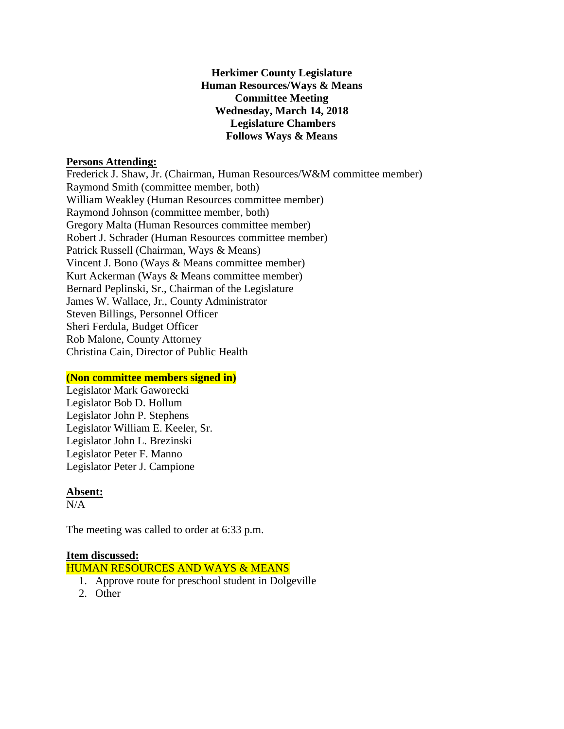### **Herkimer County Legislature Human Resources/Ways & Means Committee Meeting Wednesday, March 14, 2018 Legislature Chambers Follows Ways & Means**

### **Persons Attending:**

Frederick J. Shaw, Jr. (Chairman, Human Resources/W&M committee member) Raymond Smith (committee member, both) William Weakley (Human Resources committee member) Raymond Johnson (committee member, both) Gregory Malta (Human Resources committee member) Robert J. Schrader (Human Resources committee member) Patrick Russell (Chairman, Ways & Means) Vincent J. Bono (Ways & Means committee member) Kurt Ackerman (Ways & Means committee member) Bernard Peplinski, Sr., Chairman of the Legislature James W. Wallace, Jr., County Administrator Steven Billings, Personnel Officer Sheri Ferdula, Budget Officer Rob Malone, County Attorney Christina Cain, Director of Public Health

# **(Non committee members signed in)**

Legislator Mark Gaworecki Legislator Bob D. Hollum Legislator John P. Stephens Legislator William E. Keeler, Sr. Legislator John L. Brezinski Legislator Peter F. Manno Legislator Peter J. Campione

# **Absent:**

 $N/A$ 

The meeting was called to order at 6:33 p.m.

# **Item discussed:**

HUMAN RESOURCES AND WAYS & MEANS

- 1. Approve route for preschool student in Dolgeville
- 2. Other